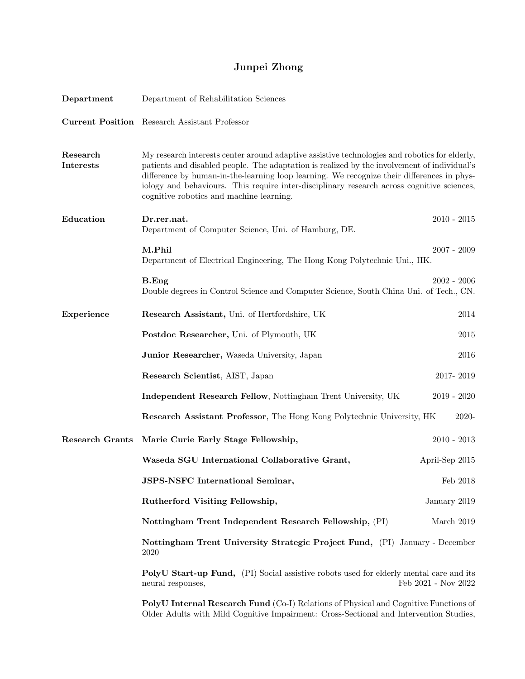# Junpei Zhong

| Department                   | Department of Rehabilitation Sciences                                                                                                                                                                                                                                                                                                                                                                                                |                     |
|------------------------------|--------------------------------------------------------------------------------------------------------------------------------------------------------------------------------------------------------------------------------------------------------------------------------------------------------------------------------------------------------------------------------------------------------------------------------------|---------------------|
|                              | <b>Current Position</b> Research Assistant Professor                                                                                                                                                                                                                                                                                                                                                                                 |                     |
| Research<br><b>Interests</b> | My research interests center around adaptive assistive technologies and robotics for elderly,<br>patients and disabled people. The adaptation is realized by the involvement of individual's<br>difference by human-in-the-learning loop learning. We recognize their differences in phys-<br>iology and behaviours. This require inter-disciplinary research across cognitive sciences,<br>cognitive robotics and machine learning. |                     |
| Education                    | Dr.rer.nat.<br>Department of Computer Science, Uni. of Hamburg, DE.                                                                                                                                                                                                                                                                                                                                                                  | $2010 - 2015$       |
|                              | M.Phil<br>Department of Electrical Engineering, The Hong Kong Polytechnic Uni., HK.                                                                                                                                                                                                                                                                                                                                                  | $2007 - 2009$       |
|                              | B.Eng<br>Double degrees in Control Science and Computer Science, South China Uni. of Tech., CN.                                                                                                                                                                                                                                                                                                                                      | $2002 - 2006$       |
| Experience                   | Research Assistant, Uni. of Hertfordshire, UK                                                                                                                                                                                                                                                                                                                                                                                        | 2014                |
|                              | Postdoc Researcher, Uni. of Plymouth, UK                                                                                                                                                                                                                                                                                                                                                                                             | 2015                |
|                              | Junior Researcher, Waseda University, Japan                                                                                                                                                                                                                                                                                                                                                                                          | 2016                |
|                              | Research Scientist, AIST, Japan                                                                                                                                                                                                                                                                                                                                                                                                      | 2017-2019           |
|                              | Independent Research Fellow, Nottingham Trent University, UK                                                                                                                                                                                                                                                                                                                                                                         | $2019 - 2020$       |
|                              | <b>Research Assistant Professor</b> , The Hong Kong Polytechnic University, HK                                                                                                                                                                                                                                                                                                                                                       | 2020-               |
| <b>Research Grants</b>       | Marie Curie Early Stage Fellowship,                                                                                                                                                                                                                                                                                                                                                                                                  | $2010 - 2013$       |
|                              | Waseda SGU International Collaborative Grant,                                                                                                                                                                                                                                                                                                                                                                                        | April-Sep 2015      |
|                              | JSPS-NSFC International Seminar,                                                                                                                                                                                                                                                                                                                                                                                                     | Feb 2018            |
|                              | Rutherford Visiting Fellowship,                                                                                                                                                                                                                                                                                                                                                                                                      | January 2019        |
|                              | Nottingham Trent Independent Research Fellowship, (PI)                                                                                                                                                                                                                                                                                                                                                                               | March 2019          |
|                              | Nottingham Trent University Strategic Project Fund, (PI) January - December<br>2020                                                                                                                                                                                                                                                                                                                                                  |                     |
|                              | PolyU Start-up Fund, (PI) Social assistive robots used for elderly mental care and its<br>neural responses,                                                                                                                                                                                                                                                                                                                          | Feb 2021 - Nov 2022 |
|                              | PolyU Internal Research Fund (Co-I) Relations of Physical and Cognitive Functions of                                                                                                                                                                                                                                                                                                                                                 |                     |

Older Adults with Mild Cognitive Impairment: Cross-Sectional and Intervention Studies,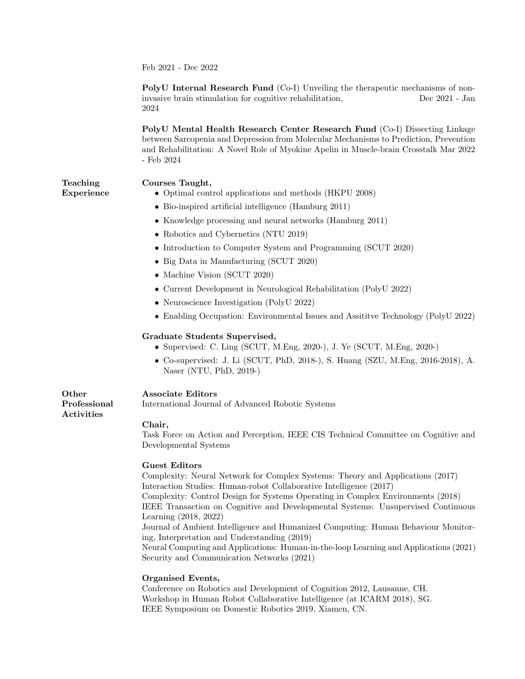Feb 2021 - Dec 2022

PolyU Internal Research Fund (Co-I) Unveiling the therapeutic mechanisms of noninvasive brain stimulation for cognitive rehabilitation, Dec 2021 - Jan 2024

PolyU Mental Health Research Center Research Fund (Co-I) Dissecting Linkage between Sarcopenia and Depression from Molecular Mechanisms to Prediction, Prevention and Rehabilitation: A Novel Role of Myokine Apelin in Muscle-brain Crosstalk Mar 2022 - Feb 2024

Teaching Experience

### Courses Taught,

- Optimal control applications and methods (HKPU 2008)
- Bio-inspired artificial intelligence (Hamburg 2011)
- Knowledge processing and neural networks (Hamburg 2011)
- Robotics and Cybernetics (NTU 2019)
- Introduction to Computer System and Programming (SCUT 2020)
- Big Data in Manufacturing (SCUT 2020)
- Machine Vision (SCUT 2020)
- Current Development in Neurological Rehabilitation (PolyU 2022)
- Neuroscience Investigation (PolyU 2022)
- Enabling Occupation: Environmental Issues and Assititve Technology (PolyU 2022)

#### Graduate Students Supervised,

- Supervised: C. Ling (SCUT, M.Eng, 2020-), J. Ye (SCUT, M.Eng, 2020-)
- Co-supervised: J. Li (SCUT, PhD, 2018-), S. Huang (SZU, M.Eng, 2016-2018), A. Naser (NTU, PhD, 2019-)

#### Associate Editors

International Journal of Advanced Robotic Systems

Activities

**Other** 

Professional

#### Chair,

Task Force on Action and Perception, IEEE CIS Technical Committee on Cognitive and Developmental Systems

#### Guest Editors

Complexity: Neural Network for Complex Systems: Theory and Applications (2017) Interaction Studies: Human-robot Collaborative Intelligence (2017) Complexity: Control Design for Systems Operating in Complex Environments (2018) IEEE Transaction on Cognitive and Developmental Systems: Unsupervised Continuous Learning (2018, 2022) Journal of Ambient Intelligence and Humanized Computing: Human Behaviour Monitoring, Interpretation and Understanding (2019) Neural Computing and Applications: Human-in-the-loop Learning and Applications (2021) Security and Communication Networks (2021)

## Organised Events,

Conference on Robotics and Development of Cognition 2012, Lausanne, CH. Workshop in Human Robot Collaborative Intelligence (at ICARM 2018), SG. IEEE Symposium on Domestic Robotics 2019, Xiamen, CN.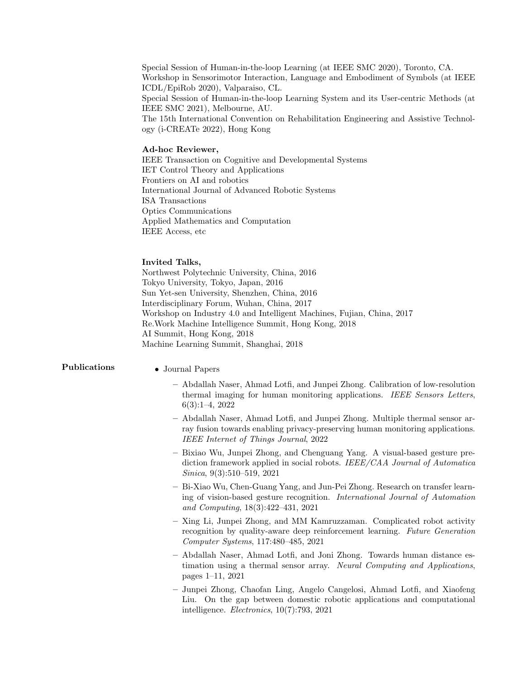Special Session of Human-in-the-loop Learning (at IEEE SMC 2020), Toronto, CA. Workshop in Sensorimotor Interaction, Language and Embodiment of Symbols (at IEEE ICDL/EpiRob 2020), Valparaiso, CL. Special Session of Human-in-the-loop Learning System and its User-centric Methods (at IEEE SMC 2021), Melbourne, AU. The 15th International Convention on Rehabilitation Engineering and Assistive Technology (i-CREATe 2022), Hong Kong

#### Ad-hoc Reviewer,

IEEE Transaction on Cognitive and Developmental Systems IET Control Theory and Applications Frontiers on AI and robotics International Journal of Advanced Robotic Systems ISA Transactions Optics Communications Applied Mathematics and Computation IEEE Access, etc

#### Invited Talks,

Northwest Polytechnic University, China, 2016 Tokyo University, Tokyo, Japan, 2016 Sun Yet-sen University, Shenzhen, China, 2016 Interdisciplinary Forum, Wuhan, China, 2017 Workshop on Industry 4.0 and Intelligent Machines, Fujian, China, 2017 Re.Work Machine Intelligence Summit, Hong Kong, 2018 AI Summit, Hong Kong, 2018 Machine Learning Summit, Shanghai, 2018

- Publications Journal Papers
	- Abdallah Naser, Ahmad Lotfi, and Junpei Zhong. Calibration of low-resolution thermal imaging for human monitoring applications. IEEE Sensors Letters, 6(3):1–4, 2022
	- Abdallah Naser, Ahmad Lotfi, and Junpei Zhong. Multiple thermal sensor array fusion towards enabling privacy-preserving human monitoring applications. IEEE Internet of Things Journal, 2022
	- Bixiao Wu, Junpei Zhong, and Chenguang Yang. A visual-based gesture prediction framework applied in social robots. IEEE/CAA Journal of Automatica Sinica, 9(3):510–519, 2021
	- Bi-Xiao Wu, Chen-Guang Yang, and Jun-Pei Zhong. Research on transfer learning of vision-based gesture recognition. International Journal of Automation and Computing, 18(3):422–431, 2021
	- Xing Li, Junpei Zhong, and MM Kamruzzaman. Complicated robot activity recognition by quality-aware deep reinforcement learning. Future Generation Computer Systems, 117:480–485, 2021
	- Abdallah Naser, Ahmad Lotfi, and Joni Zhong. Towards human distance estimation using a thermal sensor array. Neural Computing and Applications, pages 1–11, 2021
	- Junpei Zhong, Chaofan Ling, Angelo Cangelosi, Ahmad Lotfi, and Xiaofeng Liu. On the gap between domestic robotic applications and computational intelligence. Electronics, 10(7):793, 2021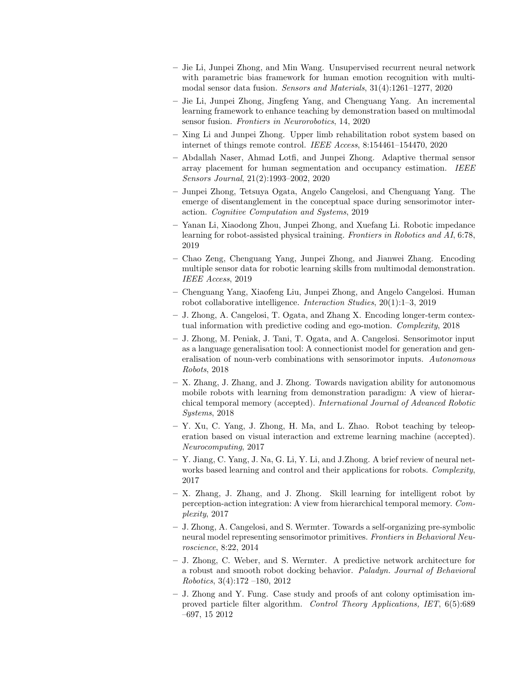- Jie Li, Junpei Zhong, and Min Wang. Unsupervised recurrent neural network with parametric bias framework for human emotion recognition with multimodal sensor data fusion. Sensors and Materials, 31(4):1261–1277, 2020
- Jie Li, Junpei Zhong, Jingfeng Yang, and Chenguang Yang. An incremental learning framework to enhance teaching by demonstration based on multimodal sensor fusion. Frontiers in Neurorobotics, 14, 2020
- Xing Li and Junpei Zhong. Upper limb rehabilitation robot system based on internet of things remote control. IEEE Access, 8:154461–154470, 2020
- Abdallah Naser, Ahmad Lotfi, and Junpei Zhong. Adaptive thermal sensor array placement for human segmentation and occupancy estimation. IEEE Sensors Journal, 21(2):1993–2002, 2020
- Junpei Zhong, Tetsuya Ogata, Angelo Cangelosi, and Chenguang Yang. The emerge of disentanglement in the conceptual space during sensorimotor interaction. Cognitive Computation and Systems, 2019
- Yanan Li, Xiaodong Zhou, Junpei Zhong, and Xuefang Li. Robotic impedance learning for robot-assisted physical training. Frontiers in Robotics and AI, 6:78, 2019
- Chao Zeng, Chenguang Yang, Junpei Zhong, and Jianwei Zhang. Encoding multiple sensor data for robotic learning skills from multimodal demonstration. IEEE Access, 2019
- Chenguang Yang, Xiaofeng Liu, Junpei Zhong, and Angelo Cangelosi. Human robot collaborative intelligence. Interaction Studies, 20(1):1–3, 2019
- J. Zhong, A. Cangelosi, T. Ogata, and Zhang X. Encoding longer-term contextual information with predictive coding and ego-motion. Complexity, 2018
- J. Zhong, M. Peniak, J. Tani, T. Ogata, and A. Cangelosi. Sensorimotor input as a language generalisation tool: A connectionist model for generation and generalisation of noun-verb combinations with sensorimotor inputs. Autonomous Robots, 2018
- X. Zhang, J. Zhang, and J. Zhong. Towards navigation ability for autonomous mobile robots with learning from demonstration paradigm: A view of hierarchical temporal memory (accepted). International Journal of Advanced Robotic Systems, 2018
- Y. Xu, C. Yang, J. Zhong, H. Ma, and L. Zhao. Robot teaching by teleoperation based on visual interaction and extreme learning machine (accepted). Neurocomputing, 2017
- Y. Jiang, C. Yang, J. Na, G. Li, Y. Li, and J.Zhong. A brief review of neural networks based learning and control and their applications for robots. Complexity, 2017
- X. Zhang, J. Zhang, and J. Zhong. Skill learning for intelligent robot by perception-action integration: A view from hierarchical temporal memory. Complexity, 2017
- J. Zhong, A. Cangelosi, and S. Wermter. Towards a self-organizing pre-symbolic neural model representing sensorimotor primitives. Frontiers in Behavioral Neuroscience, 8:22, 2014
- J. Zhong, C. Weber, and S. Wermter. A predictive network architecture for a robust and smooth robot docking behavior. Paladyn. Journal of Behavioral Robotics, 3(4):172 –180, 2012
- J. Zhong and Y. Fung. Case study and proofs of ant colony optimisation improved particle filter algorithm. Control Theory Applications, IET, 6(5):689 –697, 15 2012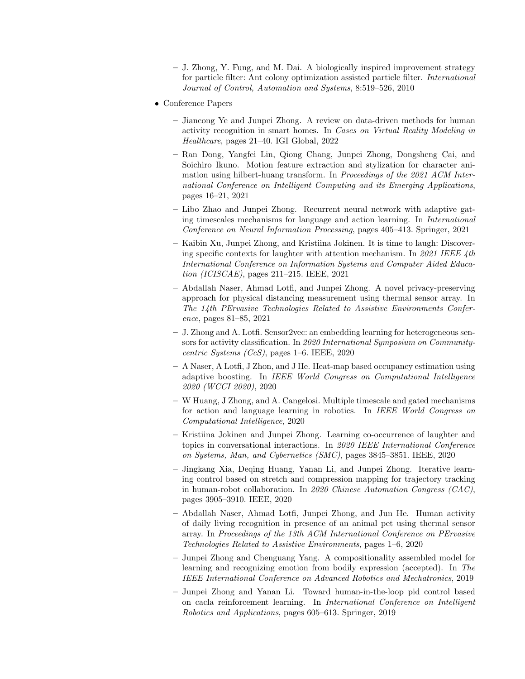- J. Zhong, Y. Fung, and M. Dai. A biologically inspired improvement strategy for particle filter: Ant colony optimization assisted particle filter. International Journal of Control, Automation and Systems, 8:519–526, 2010
- Conference Papers
	- Jiancong Ye and Junpei Zhong. A review on data-driven methods for human activity recognition in smart homes. In Cases on Virtual Reality Modeling in Healthcare, pages 21–40. IGI Global, 2022
	- Ran Dong, Yangfei Lin, Qiong Chang, Junpei Zhong, Dongsheng Cai, and Soichiro Ikuno. Motion feature extraction and stylization for character animation using hilbert-huang transform. In *Proceedings of the 2021 ACM Inter*national Conference on Intelligent Computing and its Emerging Applications, pages 16–21, 2021
	- Libo Zhao and Junpei Zhong. Recurrent neural network with adaptive gating timescales mechanisms for language and action learning. In International Conference on Neural Information Processing, pages 405–413. Springer, 2021
	- Kaibin Xu, Junpei Zhong, and Kristiina Jokinen. It is time to laugh: Discovering specific contexts for laughter with attention mechanism. In 2021 IEEE  $\mu$ th International Conference on Information Systems and Computer Aided Education (ICISCAE), pages 211–215. IEEE, 2021
	- Abdallah Naser, Ahmad Lotfi, and Junpei Zhong. A novel privacy-preserving approach for physical distancing measurement using thermal sensor array. In The 14th PErvasive Technologies Related to Assistive Environments Conference, pages 81–85, 2021
	- J. Zhong and A. Lotfi. Sensor2vec: an embedding learning for heterogeneous sensors for activity classification. In 2020 International Symposium on Communitycentric Systems (CcS), pages 1–6. IEEE, 2020
	- A Naser, A Lotfi, J Zhon, and J He. Heat-map based occupancy estimation using adaptive boosting. In IEEE World Congress on Computational Intelligence 2020 (WCCI 2020), 2020
	- W Huang, J Zhong, and A. Cangelosi. Multiple timescale and gated mechanisms for action and language learning in robotics. In IEEE World Congress on Computational Intelligence, 2020
	- Kristiina Jokinen and Junpei Zhong. Learning co-occurrence of laughter and topics in conversational interactions. In 2020 IEEE International Conference on Systems, Man, and Cybernetics (SMC), pages 3845–3851. IEEE, 2020
	- Jingkang Xia, Deqing Huang, Yanan Li, and Junpei Zhong. Iterative learning control based on stretch and compression mapping for trajectory tracking in human-robot collaboration. In 2020 Chinese Automation Congress (CAC), pages 3905–3910. IEEE, 2020
	- Abdallah Naser, Ahmad Lotfi, Junpei Zhong, and Jun He. Human activity of daily living recognition in presence of an animal pet using thermal sensor array. In Proceedings of the 13th ACM International Conference on PErvasive Technologies Related to Assistive Environments, pages 1–6, 2020
	- Junpei Zhong and Chenguang Yang. A compositionality assembled model for learning and recognizing emotion from bodily expression (accepted). In The IEEE International Conference on Advanced Robotics and Mechatronics, 2019
	- Junpei Zhong and Yanan Li. Toward human-in-the-loop pid control based on cacla reinforcement learning. In International Conference on Intelligent Robotics and Applications, pages 605–613. Springer, 2019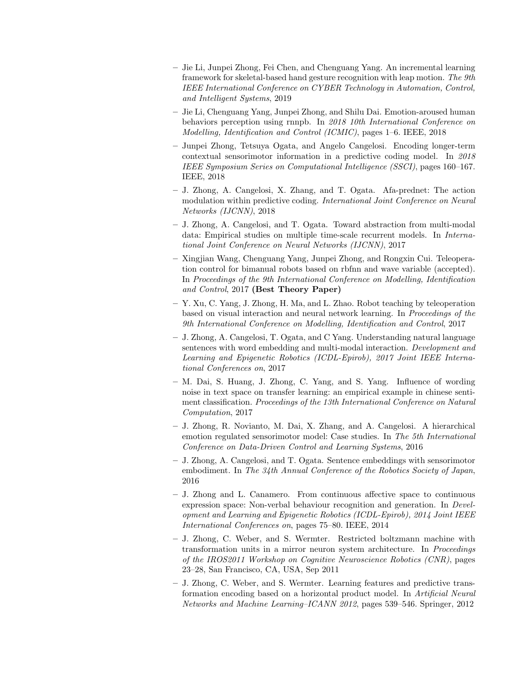- Jie Li, Junpei Zhong, Fei Chen, and Chenguang Yang. An incremental learning framework for skeletal-based hand gesture recognition with leap motion. The 9th IEEE International Conference on CYBER Technology in Automation, Control, and Intelligent Systems, 2019
- Jie Li, Chenguang Yang, Junpei Zhong, and Shilu Dai. Emotion-aroused human behaviors perception using rnnpb. In 2018 10th International Conference on Modelling, Identification and Control (ICMIC), pages 1–6. IEEE, 2018
- Junpei Zhong, Tetsuya Ogata, and Angelo Cangelosi. Encoding longer-term contextual sensorimotor information in a predictive coding model. In 2018 IEEE Symposium Series on Computational Intelligence (SSCI), pages 160–167. IEEE, 2018
- J. Zhong, A. Cangelosi, X. Zhang, and T. Ogata. Afa-prednet: The action modulation within predictive coding. International Joint Conference on Neural Networks (IJCNN), 2018
- J. Zhong, A. Cangelosi, and T. Ogata. Toward abstraction from multi-modal data: Empirical studies on multiple time-scale recurrent models. In International Joint Conference on Neural Networks (IJCNN), 2017
- Xingjian Wang, Chenguang Yang, Junpei Zhong, and Rongxin Cui. Teleoperation control for bimanual robots based on rbfnn and wave variable (accepted). In Proceedings of the 9th International Conference on Modelling, Identification and Control, 2017 (Best Theory Paper)
- Y. Xu, C. Yang, J. Zhong, H. Ma, and L. Zhao. Robot teaching by teleoperation based on visual interaction and neural network learning. In Proceedings of the 9th International Conference on Modelling, Identification and Control, 2017
- J. Zhong, A. Cangelosi, T. Ogata, and C Yang. Understanding natural language sentences with word embedding and multi-modal interaction. Development and Learning and Epigenetic Robotics (ICDL-Epirob), 2017 Joint IEEE International Conferences on, 2017
- M. Dai, S. Huang, J. Zhong, C. Yang, and S. Yang. Influence of wording noise in text space on transfer learning: an empirical example in chinese sentiment classification. Proceedings of the 13th International Conference on Natural Computation, 2017
- J. Zhong, R. Novianto, M. Dai, X. Zhang, and A. Cangelosi. A hierarchical emotion regulated sensorimotor model: Case studies. In The 5th International Conference on Data-Driven Control and Learning Systems, 2016
- J. Zhong, A. Cangelosi, and T. Ogata. Sentence embeddings with sensorimotor embodiment. In The 34th Annual Conference of the Robotics Society of Japan, 2016
- J. Zhong and L. Canamero. From continuous affective space to continuous expression space: Non-verbal behaviour recognition and generation. In Development and Learning and Epigenetic Robotics (ICDL-Epirob), 2014 Joint IEEE International Conferences on, pages 75–80. IEEE, 2014
- J. Zhong, C. Weber, and S. Wermter. Restricted boltzmann machine with transformation units in a mirror neuron system architecture. In Proceedings of the IROS2011 Workshop on Cognitive Neuroscience Robotics (CNR), pages 23–28, San Francisco, CA, USA, Sep 2011
- J. Zhong, C. Weber, and S. Wermter. Learning features and predictive transformation encoding based on a horizontal product model. In Artificial Neural Networks and Machine Learning–ICANN 2012, pages 539–546. Springer, 2012